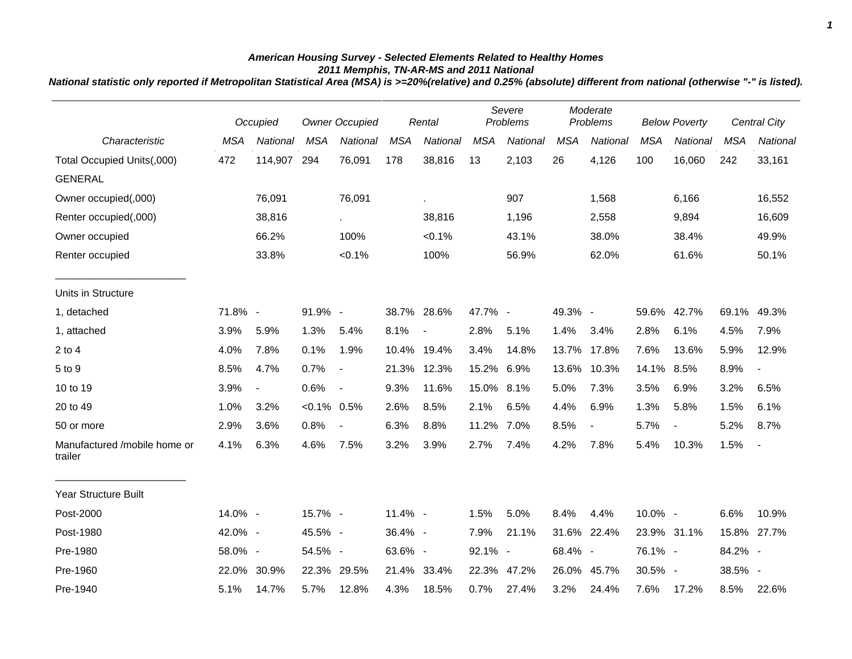## *American Housing Survey - Selected Elements Related to Healthy Homes 2011 Memphis, TN-AR-MS and 2011 National*

*National statistic only reported if Metropolitan Statistical Area (MSA) is >=20%(relative) and 0.25% (absolute) different from national (otherwise "-" is listed).*

|                                         |            | Occupied                 |                | <b>Owner Occupied</b>    |            | Rental                   |            | Severe<br>Problems |            | Moderate<br>Problems |            | <b>Below Poverty</b>     |            | Central City             |  |
|-----------------------------------------|------------|--------------------------|----------------|--------------------------|------------|--------------------------|------------|--------------------|------------|----------------------|------------|--------------------------|------------|--------------------------|--|
| Characteristic                          | <b>MSA</b> | National                 | MSA            | National                 | <b>MSA</b> | National                 | <b>MSA</b> | <b>National</b>    | <b>MSA</b> | National             | <b>MSA</b> | National                 | <b>MSA</b> | National                 |  |
| Total Occupied Units(,000)              | 472        | 114,907                  | 294            | 76,091                   | 178        | 38,816                   | 13         | 2,103              | 26         | 4,126                | 100        | 16,060                   | 242        | 33,161                   |  |
| <b>GENERAL</b>                          |            |                          |                |                          |            |                          |            |                    |            |                      |            |                          |            |                          |  |
| Owner occupied(,000)                    |            | 76,091                   |                | 76,091                   |            | $\epsilon$               |            | 907                |            | 1,568                |            | 6,166                    |            | 16,552                   |  |
| Renter occupied(,000)                   |            | 38,816                   |                | $\sim$                   |            | 38,816                   |            | 1,196              |            | 2,558                |            | 9,894                    |            | 16,609                   |  |
| Owner occupied                          |            | 66.2%                    |                | 100%                     |            | $< 0.1\%$                |            | 43.1%              |            | 38.0%                |            | 38.4%                    |            | 49.9%                    |  |
| Renter occupied                         |            | 33.8%                    |                | < 0.1%                   |            | 100%                     |            | 56.9%              |            | 62.0%                |            | 61.6%                    |            | 50.1%                    |  |
| Units in Structure                      |            |                          |                |                          |            |                          |            |                    |            |                      |            |                          |            |                          |  |
| 1, detached                             | 71.8% -    |                          | 91.9% -        |                          |            | 38.7% 28.6%              | 47.7% -    |                    | 49.3% -    |                      |            | 59.6% 42.7%              | 69.1%      | 49.3%                    |  |
| 1, attached                             | 3.9%       | 5.9%                     | 1.3%           | 5.4%                     | 8.1%       | $\overline{\phantom{a}}$ | 2.8%       | 5.1%               | 1.4%       | 3.4%                 | 2.8%       | 6.1%                     | 4.5%       | 7.9%                     |  |
| $2$ to $4$                              | 4.0%       | 7.8%                     | 0.1%           | 1.9%                     | 10.4%      | 19.4%                    | 3.4%       | 14.8%              | 13.7%      | 17.8%                | 7.6%       | 13.6%                    | 5.9%       | 12.9%                    |  |
| 5 to 9                                  | 8.5%       | 4.7%                     | 0.7%           | $\overline{\phantom{a}}$ |            | 21.3% 12.3%              | 15.2% 6.9% |                    | 13.6%      | 10.3%                | 14.1%      | 8.5%                     | 8.9%       | $\overline{\phantom{a}}$ |  |
| 10 to 19                                | 3.9%       | $\overline{\phantom{a}}$ | 0.6%           | $\sim$                   | 9.3%       | 11.6%                    | 15.0% 8.1% |                    | 5.0%       | 7.3%                 | 3.5%       | 6.9%                     | 3.2%       | 6.5%                     |  |
| 20 to 49                                | 1.0%       | 3.2%                     | $< 0.1\%$ 0.5% |                          | 2.6%       | 8.5%                     | 2.1%       | 6.5%               | 4.4%       | 6.9%                 | 1.3%       | 5.8%                     | 1.5%       | 6.1%                     |  |
| 50 or more                              | 2.9%       | 3.6%                     | 0.8%           |                          | 6.3%       | 8.8%                     | 11.2% 7.0% |                    | 8.5%       | $\blacksquare$       | 5.7%       | $\overline{\phantom{a}}$ | 5.2%       | 8.7%                     |  |
| Manufactured /mobile home or<br>trailer | 4.1%       | 6.3%                     | 4.6%           | 7.5%                     | 3.2%       | 3.9%                     | 2.7%       | 7.4%               | 4.2%       | 7.8%                 | 5.4%       | 10.3%                    | 1.5%       | $\blacksquare$           |  |
| Year Structure Built                    |            |                          |                |                          |            |                          |            |                    |            |                      |            |                          |            |                          |  |
| Post-2000                               | 14.0% -    |                          | 15.7% -        |                          | 11.4% -    |                          | 1.5%       | 5.0%               | 8.4%       | 4.4%                 | 10.0% -    |                          | 6.6%       | 10.9%                    |  |
| Post-1980                               | 42.0% -    |                          | 45.5% -        |                          | 36.4% -    |                          | 7.9%       | 21.1%              | 31.6%      | 22.4%                |            | 23.9% 31.1%              | 15.8%      | 27.7%                    |  |
| Pre-1980                                | 58.0% -    |                          | 54.5% -        |                          | 63.6% -    |                          | 92.1% -    |                    | 68.4% -    |                      | 76.1% -    |                          | 84.2% -    |                          |  |
| Pre-1960                                | 22.0%      | 30.9%                    | 22.3% 29.5%    |                          |            | 21.4% 33.4%              | 22.3%      | 47.2%              |            | 26.0% 45.7%          | 30.5% -    |                          | 38.5% -    |                          |  |
| Pre-1940                                | 5.1%       | 14.7%                    | 5.7%           | 12.8%                    | 4.3%       | 18.5%                    | 0.7%       | 27.4%              | 3.2%       | 24.4%                | 7.6%       | 17.2%                    | 8.5%       | 22.6%                    |  |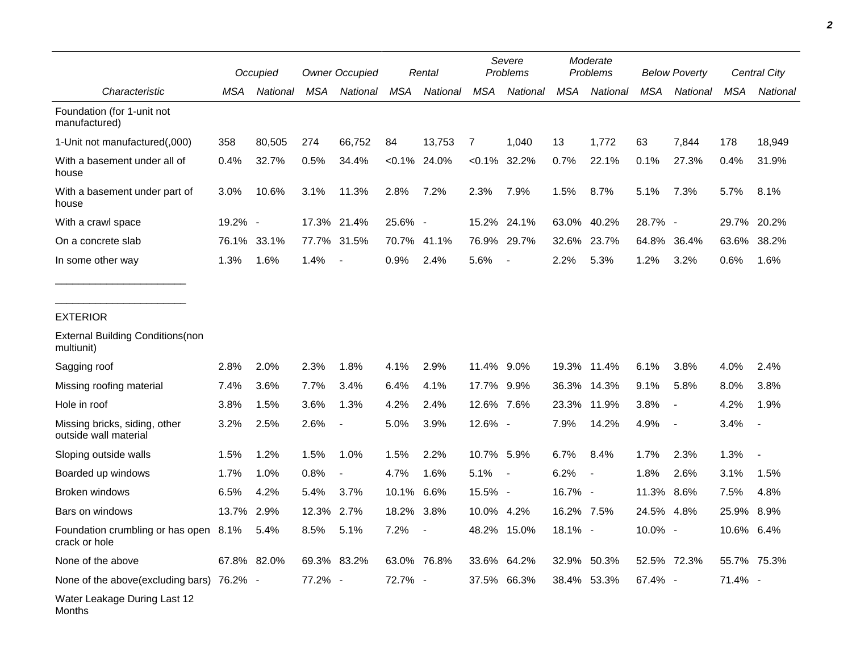|                                                        |         | Occupied    |            | <b>Owner Occupied</b> |            | Rental          |            | Severe<br>Problems |            | Moderate<br>Problems     |            | <b>Below Poverty</b>     |            | Central City |  |
|--------------------------------------------------------|---------|-------------|------------|-----------------------|------------|-----------------|------------|--------------------|------------|--------------------------|------------|--------------------------|------------|--------------|--|
| Characteristic                                         | MSA     | National    | <b>MSA</b> | National              | <b>MSA</b> | National        | <b>MSA</b> | National           | <b>MSA</b> | National                 | <b>MSA</b> | National                 | <b>MSA</b> | National     |  |
| Foundation (for 1-unit not<br>manufactured)            |         |             |            |                       |            |                 |            |                    |            |                          |            |                          |            |              |  |
| 1-Unit not manufactured(,000)                          | 358     | 80,505      | 274        | 66,752                | 84         | 13,753          | 7          | 1,040              | 13         | 1,772                    | 63         | 7,844                    | 178        | 18,949       |  |
| With a basement under all of<br>house                  | 0.4%    | 32.7%       | 0.5%       | 34.4%                 |            | $< 0.1\%$ 24.0% |            | $< 0.1\%$ 32.2%    | 0.7%       | 22.1%                    | 0.1%       | 27.3%                    | 0.4%       | 31.9%        |  |
| With a basement under part of<br>house                 | 3.0%    | 10.6%       | 3.1%       | 11.3%                 | 2.8%       | 7.2%            | 2.3%       | 7.9%               | 1.5%       | 8.7%                     | 5.1%       | 7.3%                     | 5.7%       | 8.1%         |  |
| With a crawl space                                     | 19.2% - |             | 17.3%      | 21.4%                 | 25.6% -    |                 | 15.2%      | 24.1%              | 63.0%      | 40.2%                    | 28.7% -    |                          | 29.7%      | 20.2%        |  |
| On a concrete slab                                     | 76.1%   | 33.1%       | 77.7%      | 31.5%                 | 70.7%      | 41.1%           | 76.9%      | 29.7%              | 32.6%      | 23.7%                    | 64.8%      | 36.4%                    | 63.6%      | 38.2%        |  |
| In some other way                                      | 1.3%    | 1.6%        | 1.4%       | $\sim$                | 0.9%       | 2.4%            | 5.6%       | $\blacksquare$     | 2.2%       | 5.3%                     | 1.2%       | 3.2%                     | 0.6%       | 1.6%         |  |
| <b>EXTERIOR</b>                                        |         |             |            |                       |            |                 |            |                    |            |                          |            |                          |            |              |  |
| <b>External Building Conditions (non</b><br>multiunit) |         |             |            |                       |            |                 |            |                    |            |                          |            |                          |            |              |  |
| Sagging roof                                           | 2.8%    | 2.0%        | 2.3%       | 1.8%                  | 4.1%       | 2.9%            | 11.4% 9.0% |                    |            | 19.3% 11.4%              | 6.1%       | 3.8%                     | 4.0%       | 2.4%         |  |
| Missing roofing material                               | 7.4%    | 3.6%        | 7.7%       | 3.4%                  | 6.4%       | 4.1%            | 17.7% 9.9% |                    | 36.3%      | 14.3%                    | 9.1%       | 5.8%                     | 8.0%       | 3.8%         |  |
| Hole in roof                                           | 3.8%    | 1.5%        | 3.6%       | 1.3%                  | 4.2%       | 2.4%            | 12.6% 7.6% |                    | 23.3%      | 11.9%                    | 3.8%       | $\overline{\phantom{a}}$ | 4.2%       | 1.9%         |  |
| Missing bricks, siding, other<br>outside wall material | 3.2%    | 2.5%        | 2.6%       |                       | 5.0%       | 3.9%            | 12.6% -    |                    | 7.9%       | 14.2%                    | 4.9%       | $\overline{\phantom{a}}$ | 3.4%       |              |  |
| Sloping outside walls                                  | 1.5%    | 1.2%        | 1.5%       | 1.0%                  | 1.5%       | 2.2%            | 10.7% 5.9% |                    | 6.7%       | 8.4%                     | 1.7%       | 2.3%                     | 1.3%       |              |  |
| Boarded up windows                                     | 1.7%    | 1.0%        | 0.8%       |                       | 4.7%       | 1.6%            | 5.1%       | $\sim$ $-$         | 6.2%       | $\overline{\phantom{a}}$ | 1.8%       | 2.6%                     | 3.1%       | 1.5%         |  |
| Broken windows                                         | 6.5%    | 4.2%        | 5.4%       | 3.7%                  | 10.1%      | 6.6%            | 15.5% -    |                    | 16.7% -    |                          | 11.3%      | 8.6%                     | 7.5%       | 4.8%         |  |
| Bars on windows                                        | 13.7%   | 2.9%        | 12.3%      | 2.7%                  | 18.2%      | 3.8%            | 10.0% 4.2% |                    | 16.2% 7.5% |                          | 24.5%      | 4.8%                     | 25.9%      | 8.9%         |  |
| Foundation crumbling or has open 8.1%<br>crack or hole |         | 5.4%        | 8.5%       | 5.1%                  | 7.2%       |                 |            | 48.2% 15.0%        | 18.1% -    |                          | 10.0% -    |                          | 10.6% 6.4% |              |  |
| None of the above                                      |         | 67.8% 82.0% |            | 69.3% 83.2%           |            | 63.0% 76.8%     |            | 33.6% 64.2%        |            | 32.9% 50.3%              |            | 52.5% 72.3%              |            | 55.7% 75.3%  |  |
| None of the above(excluding bars) 76.2% -              |         |             | 77.2% -    |                       | 72.7% -    |                 |            | 37.5% 66.3%        |            | 38.4% 53.3%              | 67.4% -    |                          | 71.4% -    |              |  |
| Water Leakage During Last 12<br>Months                 |         |             |            |                       |            |                 |            |                    |            |                          |            |                          |            |              |  |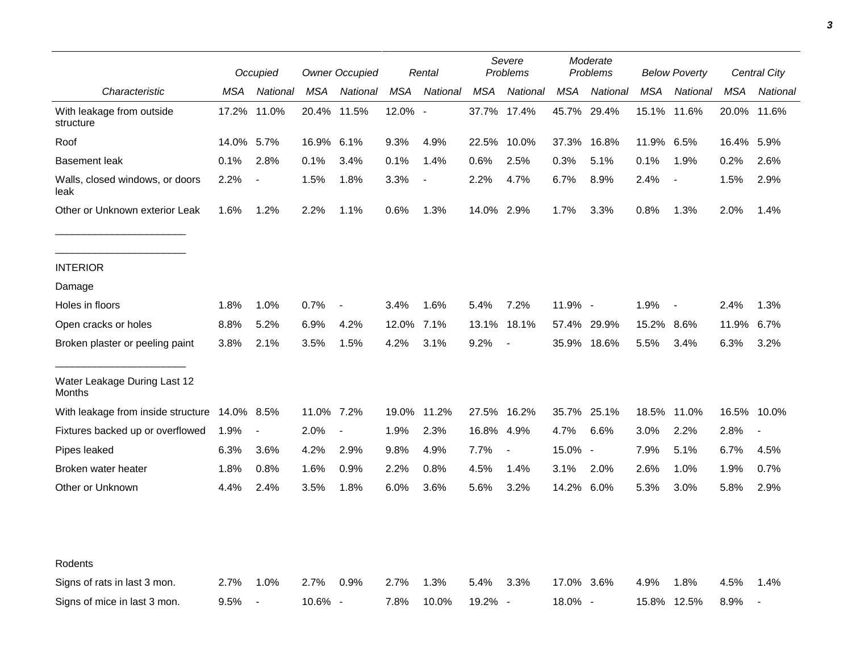|                                         |            | Occupied                 |            | <b>Owner Occupied</b> |         | Rental         |            | Severe<br>Problems       |             | Moderate<br>Problems |             | <b>Below Poverty</b>     |             | Central City             |
|-----------------------------------------|------------|--------------------------|------------|-----------------------|---------|----------------|------------|--------------------------|-------------|----------------------|-------------|--------------------------|-------------|--------------------------|
| Characteristic                          | MSA        | National                 | <b>MSA</b> | National              | MSA     | National       | <b>MSA</b> | National                 | MSA         | National             | <b>MSA</b>  | National                 | MSA         | National                 |
| With leakage from outside<br>structure  | 17.2%      | 11.0%                    |            | 20.4% 11.5%           | 12.0% - |                |            | 37.7% 17.4%              |             | 45.7% 29.4%          |             | 15.1% 11.6%              | 20.0% 11.6% |                          |
| Roof                                    | 14.0% 5.7% |                          | 16.9% 6.1% |                       | 9.3%    | 4.9%           |            | 22.5% 10.0%              | 37.3% 16.8% |                      | 11.9% 6.5%  |                          | 16.4% 5.9%  |                          |
| Basement leak                           | 0.1%       | 2.8%                     | 0.1%       | 3.4%                  | 0.1%    | 1.4%           | 0.6%       | 2.5%                     | 0.3%        | 5.1%                 | 0.1%        | 1.9%                     | 0.2%        | 2.6%                     |
| Walls, closed windows, or doors<br>leak | 2.2%       | $\blacksquare$           | 1.5%       | 1.8%                  | 3.3%    | $\blacksquare$ | 2.2%       | 4.7%                     | 6.7%        | 8.9%                 | 2.4%        | $\overline{\phantom{a}}$ | 1.5%        | 2.9%                     |
| Other or Unknown exterior Leak          | 1.6%       | 1.2%                     | 2.2%       | 1.1%                  | 0.6%    | 1.3%           | 14.0% 2.9% |                          | 1.7%        | 3.3%                 | 0.8%        | 1.3%                     | 2.0%        | 1.4%                     |
| <b>INTERIOR</b>                         |            |                          |            |                       |         |                |            |                          |             |                      |             |                          |             |                          |
| Damage                                  |            |                          |            |                       |         |                |            |                          |             |                      |             |                          |             |                          |
| Holes in floors                         | 1.8%       | 1.0%                     | 0.7%       | $\blacksquare$        | 3.4%    | 1.6%           | 5.4%       | 7.2%                     | 11.9% -     |                      | 1.9%        | $\overline{\phantom{a}}$ | 2.4%        | 1.3%                     |
| Open cracks or holes                    | 8.8%       | 5.2%                     | 6.9%       | 4.2%                  | 12.0%   | 7.1%           | 13.1%      | 18.1%                    |             | 57.4% 29.9%          | 15.2%       | 8.6%                     | 11.9%       | 6.7%                     |
| Broken plaster or peeling paint         | 3.8%       | 2.1%                     | 3.5%       | 1.5%                  | 4.2%    | 3.1%           | 9.2%       |                          |             | 35.9% 18.6%          | 5.5%        | 3.4%                     | 6.3%        | 3.2%                     |
| Water Leakage During Last 12<br>Months  |            |                          |            |                       |         |                |            |                          |             |                      |             |                          |             |                          |
| With leakage from inside structure      | 14.0% 8.5% |                          | 11.0% 7.2% |                       | 19.0%   | 11.2%          |            | 27.5% 16.2%              | 35.7% 25.1% |                      | 18.5% 11.0% |                          | 16.5% 10.0% |                          |
| Fixtures backed up or overflowed        | 1.9%       | $\overline{\phantom{a}}$ | 2.0%       | $\blacksquare$        | 1.9%    | 2.3%           | 16.8% 4.9% |                          | 4.7%        | 6.6%                 | 3.0%        | 2.2%                     | 2.8%        | $\overline{\phantom{a}}$ |
| Pipes leaked                            | 6.3%       | 3.6%                     | 4.2%       | 2.9%                  | 9.8%    | 4.9%           | 7.7%       | $\overline{\phantom{a}}$ | 15.0% -     |                      | 7.9%        | 5.1%                     | 6.7%        | 4.5%                     |
| Broken water heater                     | 1.8%       | 0.8%                     | 1.6%       | 0.9%                  | 2.2%    | 0.8%           | 4.5%       | 1.4%                     | 3.1%        | 2.0%                 | 2.6%        | 1.0%                     | 1.9%        | 0.7%                     |
| Other or Unknown                        | 4.4%       | 2.4%                     | 3.5%       | 1.8%                  | 6.0%    | 3.6%           | 5.6%       | 3.2%                     | 14.2% 6.0%  |                      | 5.3%        | 3.0%                     | 5.8%        | 2.9%                     |
| Rodents                                 |            |                          |            |                       |         |                |            |                          |             |                      |             |                          |             |                          |
| Signs of rats in last 3 mon.            | 2.7%       | 1.0%                     | 2.7%       | 0.9%                  | 2.7%    | 1.3%           | 5.4%       | 3.3%                     | 17.0% 3.6%  |                      | 4.9%        | 1.8%                     | 4.5%        | 1.4%                     |
| Signs of mice in last 3 mon.            | 9.5%       | $\overline{\phantom{a}}$ | 10.6% -    |                       | 7.8%    | 10.0%          | 19.2% -    |                          | 18.0% -     |                      | 15.8% 12.5% |                          | 8.9%        |                          |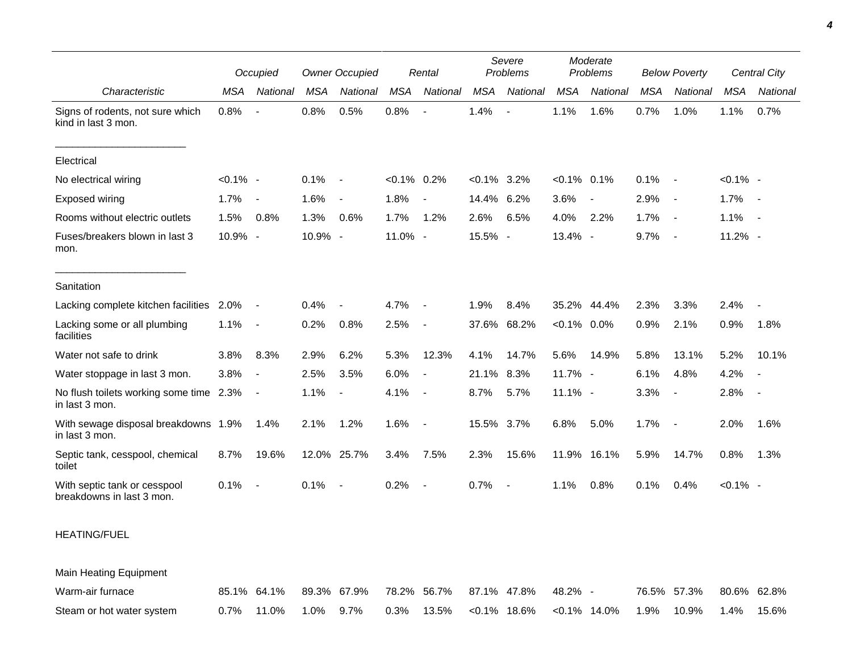|                                                           |             | Occupied                 |            | <b>Owner Occupied</b> |                | Rental                   |               | Severe<br>Problems |                | Moderate<br>Problems     |            | <b>Below Poverty</b>     |             | Central City             |
|-----------------------------------------------------------|-------------|--------------------------|------------|-----------------------|----------------|--------------------------|---------------|--------------------|----------------|--------------------------|------------|--------------------------|-------------|--------------------------|
| Characteristic                                            | <b>MSA</b>  | National                 | <b>MSA</b> | National              | <b>MSA</b>     | National                 | <b>MSA</b>    | National           | <b>MSA</b>     | National                 | <b>MSA</b> | National                 | MSA         | National                 |
| Signs of rodents, not sure which<br>kind in last 3 mon.   | 0.8%        | $\overline{\phantom{a}}$ | 0.8%       | 0.5%                  | 0.8%           |                          | 1.4%          | $\overline{a}$     | 1.1%           | 1.6%                     | 0.7%       | 1.0%                     | 1.1%        | 0.7%                     |
| Electrical                                                |             |                          |            |                       |                |                          |               |                    |                |                          |            |                          |             |                          |
| No electrical wiring                                      | $< 0.1\%$ - |                          | 0.1%       | $\sim$ $-$            | $< 0.1\%$ 0.2% |                          | $<0.1\%$ 3.2% |                    | $< 0.1\%$ 0.1% |                          | 0.1%       | $\overline{\phantom{a}}$ | $< 0.1\%$ - |                          |
| <b>Exposed wiring</b>                                     | 1.7%        | $\overline{\phantom{a}}$ | 1.6%       | $\sim$                | 1.8%           | $\overline{\phantom{a}}$ | 14.4% 6.2%    |                    | 3.6%           | $\overline{\phantom{a}}$ | 2.9%       | $\overline{\phantom{a}}$ | 1.7%        | $\sim$                   |
| Rooms without electric outlets                            | 1.5%        | 0.8%                     | 1.3%       | 0.6%                  | 1.7%           | 1.2%                     | 2.6%          | 6.5%               | 4.0%           | 2.2%                     | 1.7%       | $\overline{\phantom{a}}$ | 1.1%        | $\sim$ $-$               |
| Fuses/breakers blown in last 3<br>mon.                    | 10.9% -     |                          | 10.9% -    |                       | 11.0% -        |                          | 15.5% -       |                    | 13.4% -        |                          | 9.7%       | $\overline{\phantom{a}}$ | 11.2% -     |                          |
| Sanitation                                                |             |                          |            |                       |                |                          |               |                    |                |                          |            |                          |             |                          |
| Lacking complete kitchen facilities                       | 2.0%        | $\blacksquare$           | 0.4%       | $\blacksquare$        | 4.7%           | $\blacksquare$           | 1.9%          | 8.4%               |                | 35.2% 44.4%              | 2.3%       | 3.3%                     | 2.4%        |                          |
| Lacking some or all plumbing<br>facilities                | 1.1%        | $\overline{\phantom{a}}$ | 0.2%       | 0.8%                  | 2.5%           | $\blacksquare$           |               | 37.6% 68.2%        | $< 0.1\%$ 0.0% |                          | 0.9%       | 2.1%                     | 0.9%        | 1.8%                     |
| Water not safe to drink                                   | 3.8%        | 8.3%                     | 2.9%       | 6.2%                  | 5.3%           | 12.3%                    | 4.1%          | 14.7%              | 5.6%           | 14.9%                    | 5.8%       | 13.1%                    | 5.2%        | 10.1%                    |
| Water stoppage in last 3 mon.                             | 3.8%        | $\overline{\phantom{a}}$ | 2.5%       | 3.5%                  | 6.0%           | $\blacksquare$           | 21.1%         | 8.3%               | 11.7% -        |                          | 6.1%       | 4.8%                     | 4.2%        | $\overline{\phantom{a}}$ |
| No flush toilets working some time 2.3%<br>in last 3 mon. |             | $\blacksquare$           | 1.1%       | $\sim$                | 4.1%           |                          | 8.7%          | 5.7%               | $11.1\%$ -     |                          | 3.3%       | $\blacksquare$           | 2.8%        | $\sim$                   |
| With sewage disposal breakdowns 1.9%<br>in last 3 mon.    |             | 1.4%                     | 2.1%       | 1.2%                  | 1.6%           | $\overline{\phantom{a}}$ | 15.5% 3.7%    |                    | 6.8%           | 5.0%                     | 1.7%       | $\overline{\phantom{a}}$ | 2.0%        | 1.6%                     |
| Septic tank, cesspool, chemical<br>toilet                 | 8.7%        | 19.6%                    |            | 12.0% 25.7%           | 3.4%           | 7.5%                     | 2.3%          | 15.6%              |                | 11.9% 16.1%              | 5.9%       | 14.7%                    | 0.8%        | 1.3%                     |
| With septic tank or cesspool<br>breakdowns in last 3 mon. | 0.1%        | $\overline{\phantom{a}}$ | 0.1%       | $\sim$ $-$            | 0.2%           | $\overline{\phantom{a}}$ | 0.7%          | $\blacksquare$     | 1.1%           | 0.8%                     | 0.1%       | 0.4%                     | $< 0.1\%$ - |                          |
|                                                           |             |                          |            |                       |                |                          |               |                    |                |                          |            |                          |             |                          |

## HEATING/FUEL

Main Heating Equipment

| Warm-air furnace          |                         | 85.1% 64.1% 89.3% 67.9% 78.2% 56.7% 87.1% 47.8% |                                                                     |  | 48.2% - |  | 76.5% 57.3% 80.6% 62.8% |  |
|---------------------------|-------------------------|-------------------------------------------------|---------------------------------------------------------------------|--|---------|--|-------------------------|--|
| Steam or hot water system | $0.7\%$ 11.0% 1.0% 9.7% |                                                 | $0.3\%$ 13.5% < $0.1\%$ 18.6% < $0.1\%$ 14.0% 1.9% 10.9% 1.4% 15.6% |  |         |  |                         |  |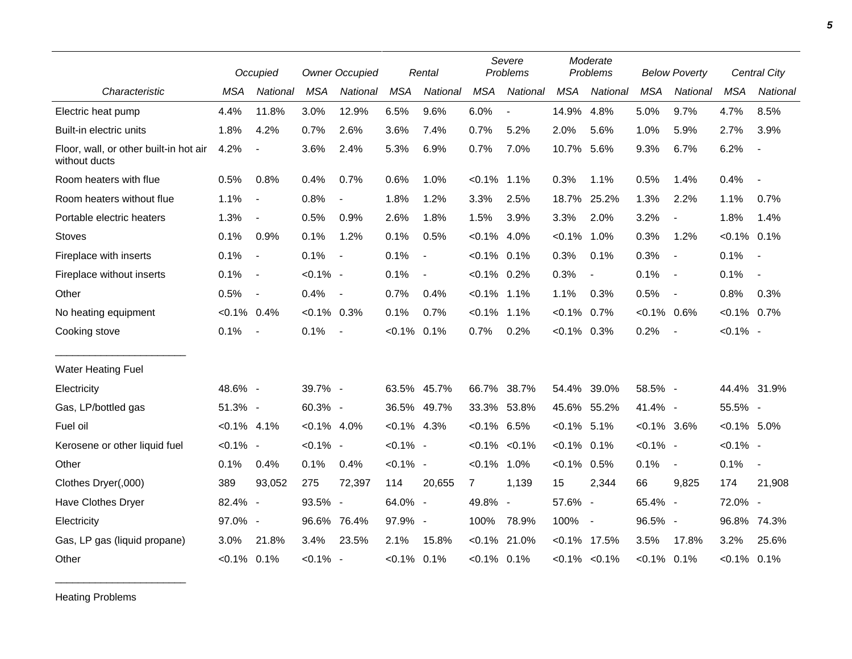|                                                         |                | Occupied                 |                | <b>Owner Occupied</b> |                | Rental                   |                | Severe<br>Problems       |                | Moderate<br>Problems     |                | <b>Below Poverty</b>     |                | Central City             |
|---------------------------------------------------------|----------------|--------------------------|----------------|-----------------------|----------------|--------------------------|----------------|--------------------------|----------------|--------------------------|----------------|--------------------------|----------------|--------------------------|
| Characteristic                                          | <b>MSA</b>     | <b>National</b>          | <b>MSA</b>     | National              | <b>MSA</b>     | National                 | <b>MSA</b>     | National                 | <b>MSA</b>     | National                 | <b>MSA</b>     | National                 | <b>MSA</b>     | <b>National</b>          |
| Electric heat pump                                      | 4.4%           | 11.8%                    | 3.0%           | 12.9%                 | 6.5%           | 9.6%                     | 6.0%           | $\blacksquare$           | 14.9%          | 4.8%                     | 5.0%           | 9.7%                     | 4.7%           | 8.5%                     |
| Built-in electric units                                 | 1.8%           | 4.2%                     | 0.7%           | 2.6%                  | 3.6%           | 7.4%                     | 0.7%           | 5.2%                     | 2.0%           | 5.6%                     | 1.0%           | 5.9%                     | 2.7%           | 3.9%                     |
| Floor, wall, or other built-in hot air<br>without ducts | 4.2%           | $\overline{\phantom{a}}$ | 3.6%           | 2.4%                  | 5.3%           | 6.9%                     | 0.7%           | 7.0%                     | 10.7%          | 5.6%                     | 9.3%           | 6.7%                     | 6.2%           | $\overline{\phantom{a}}$ |
| Room heaters with flue                                  | 0.5%           | 0.8%                     | 0.4%           | 0.7%                  | 0.6%           | 1.0%                     | $< 0.1\%$      | $1.1\%$                  | 0.3%           | 1.1%                     | 0.5%           | 1.4%                     | 0.4%           | $\overline{\phantom{a}}$ |
| Room heaters without flue                               | 1.1%           | $\blacksquare$           | 0.8%           |                       | 1.8%           | 1.2%                     | 3.3%           | 2.5%                     | 18.7%          | 25.2%                    | 1.3%           | 2.2%                     | 1.1%           | 0.7%                     |
| Portable electric heaters                               | 1.3%           | $\overline{\phantom{a}}$ | 0.5%           | 0.9%                  | 2.6%           | 1.8%                     | 1.5%           | 3.9%                     | 3.3%           | 2.0%                     | 3.2%           | $\overline{\phantom{a}}$ | 1.8%           | 1.4%                     |
| <b>Stoves</b>                                           | 0.1%           | 0.9%                     | 0.1%           | 1.2%                  | 0.1%           | 0.5%                     | $< 0.1\%$ 4.0% |                          | $< 0.1\%$      | 1.0%                     | 0.3%           | 1.2%                     | $< 0.1\%$ 0.1% |                          |
| Fireplace with inserts                                  | 0.1%           | $\blacksquare$           | 0.1%           | $\overline{a}$        | 0.1%           | $\overline{\phantom{a}}$ | $< 0.1\%$ 0.1% |                          | 0.3%           | 0.1%                     | 0.3%           | $\blacksquare$           | 0.1%           | $\sim$                   |
| Fireplace without inserts                               | 0.1%           | $\sim$                   | $< 0.1\%$ -    |                       | 0.1%           | $\blacksquare$           | $< 0.1\%$ 0.2% |                          | 0.3%           | $\overline{\phantom{a}}$ | 0.1%           | $\overline{\phantom{a}}$ | 0.1%           | $\sim$                   |
| Other                                                   | 0.5%           | $\blacksquare$           | 0.4%           | $\sim$                | 0.7%           | 0.4%                     | $< 0.1\%$ 1.1% |                          | 1.1%           | 0.3%                     | 0.5%           | $\overline{\phantom{a}}$ | 0.8%           | 0.3%                     |
| No heating equipment                                    | $< 0.1\%$ 0.4% |                          | $<0.1\%$ 0.3%  |                       | 0.1%           | 0.7%                     | $< 0.1\%$ 1.1% |                          | $< 0.1\%$      | 0.7%                     | $< 0.1\%$ 0.6% |                          | $< 0.1\%$ 0.7% |                          |
| Cooking stove                                           | 0.1%           | $\sim$                   | 0.1%           | $\sim$                | $< 0.1\%$      | 0.1%                     | 0.7%           | 0.2%                     | $<0.1\%$ 0.3%  |                          | 0.2%           | $\overline{\phantom{a}}$ | $< 0.1\%$ -    |                          |
| <b>Water Heating Fuel</b>                               |                |                          |                |                       |                |                          |                |                          |                |                          |                |                          |                |                          |
| Electricity                                             | 48.6% -        |                          | 39.7% -        |                       |                | 63.5% 45.7%              | 66.7%          | 38.7%                    | 54.4%          | 39.0%                    | 58.5% -        |                          |                | 44.4% 31.9%              |
| Gas, LP/bottled gas                                     | 51.3% -        |                          | 60.3% -        |                       |                | 36.5% 49.7%              |                | 33.3% 53.8%              |                | 45.6% 55.2%              | 41.4% -        |                          | 55.5% -        |                          |
| Fuel oil                                                | $< 0.1\%$ 4.1% |                          | $< 0.1\%$ 4.0% |                       | $< 0.1\%$ 4.3% |                          | $< 0.1\%$ 6.5% |                          | $< 0.1\%$ 5.1% |                          | $< 0.1\%$ 3.6% |                          | $< 0.1\%$ 5.0% |                          |
| Kerosene or other liquid fuel                           | $< 0.1\%$ -    |                          | $< 0.1\%$ -    |                       | $< 0.1\%$ -    |                          |                | $< 0.1\%$ $< 0.1\%$      | $< 0.1\%$      | 0.1%                     | $< 0.1\%$ -    |                          | $< 0.1\%$ -    |                          |
| Other                                                   | 0.1%           | 0.4%                     | 0.1%           | 0.4%                  | $< 0.1\%$ -    |                          | $< 0.1\%$      | 1.0%                     | $< 0.1\%$      | 0.5%                     | 0.1%           | $\blacksquare$           | 0.1%           | $\overline{\phantom{a}}$ |
| Clothes Dryer(,000)                                     | 389            | 93,052                   | 275            | 72,397                | 114            | 20,655                   | $\mathbf{7}$   | 1,139                    | 15             | 2,344                    | 66             | 9,825                    | 174            | 21,908                   |
| Have Clothes Dryer                                      | 82.4% -        |                          | 93.5% -        |                       | 64.0% -        |                          | 49.8%          | $\overline{\phantom{a}}$ | 57.6% -        |                          | 65.4% -        |                          | 72.0% -        |                          |
| Electricity                                             | 97.0% -        |                          | 96.6%          | 76.4%                 | 97.9% -        |                          | 100%           | 78.9%                    | 100%           | $\sim$                   | 96.5% -        |                          |                | 96.8% 74.3%              |
| Gas, LP gas (liquid propane)                            | 3.0%           | 21.8%                    | 3.4%           | 23.5%                 | 2.1%           | 15.8%                    | $< 0.1\%$      | 21.0%                    | $< 0.1\%$      | 17.5%                    | 3.5%           | 17.8%                    | 3.2%           | 25.6%                    |
| Other                                                   | $< 0.1\%$ 0.1% |                          | $< 0.1\%$ -    |                       | $< 0.1\%$ 0.1% |                          | $< 0.1\%$ 0.1% |                          |                | $< 0.1\%$ $< 0.1\%$      | $< 0.1\%$ 0.1% |                          | $< 0.1\%$ 0.1% |                          |

Heating Problems

\_\_\_\_\_\_\_\_\_\_\_\_\_\_\_\_\_\_\_\_\_\_\_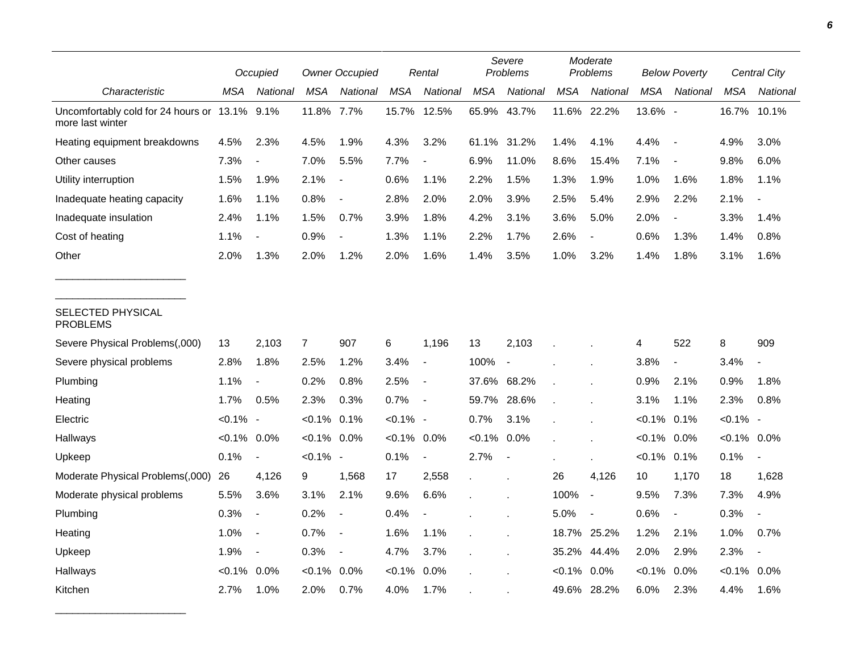|                                                                   |                | Occupied                 |                | <b>Owner Occupied</b>    |             | Rental                   |             | Severe<br>Problems       |            | Moderate<br>Problems     |            | <b>Below Poverty</b>     |             | <b>Central City</b>      |
|-------------------------------------------------------------------|----------------|--------------------------|----------------|--------------------------|-------------|--------------------------|-------------|--------------------------|------------|--------------------------|------------|--------------------------|-------------|--------------------------|
| Characteristic                                                    | MSA            | National                 | <b>MSA</b>     | National                 | <b>MSA</b>  | National                 | <b>MSA</b>  | National                 | <b>MSA</b> | National                 | <b>MSA</b> | National                 | <b>MSA</b>  | National                 |
| Uncomfortably cold for 24 hours or 13.1% 9.1%<br>more last winter |                |                          | 11.8%          | 7.7%                     | 15.7%       | 12.5%                    | 65.9%       | 43.7%                    | 11.6%      | 22.2%                    | 13.6% -    |                          | 16.7%       | 10.1%                    |
| Heating equipment breakdowns                                      | 4.5%           | 2.3%                     | 4.5%           | 1.9%                     | 4.3%        | 3.2%                     | 61.1% 31.2% |                          | 1.4%       | 4.1%                     | 4.4%       | $\overline{\phantom{a}}$ | 4.9%        | 3.0%                     |
| Other causes                                                      | 7.3%           | $\overline{\phantom{a}}$ | 7.0%           | 5.5%                     | 7.7%        | $\overline{\phantom{a}}$ | 6.9%        | 11.0%                    | 8.6%       | 15.4%                    | 7.1%       | $\overline{\phantom{a}}$ | 9.8%        | 6.0%                     |
| Utility interruption                                              | 1.5%           | 1.9%                     | 2.1%           | $\overline{\phantom{a}}$ | 0.6%        | 1.1%                     | 2.2%        | 1.5%                     | 1.3%       | 1.9%                     | 1.0%       | 1.6%                     | 1.8%        | 1.1%                     |
| Inadequate heating capacity                                       | 1.6%           | 1.1%                     | 0.8%           | $\overline{a}$           | 2.8%        | 2.0%                     | 2.0%        | 3.9%                     | 2.5%       | 5.4%                     | 2.9%       | 2.2%                     | 2.1%        |                          |
| Inadequate insulation                                             | 2.4%           | 1.1%                     | 1.5%           | 0.7%                     | 3.9%        | 1.8%                     | 4.2%        | 3.1%                     | 3.6%       | 5.0%                     | 2.0%       | $\overline{\phantom{a}}$ | 3.3%        | 1.4%                     |
| Cost of heating                                                   | 1.1%           |                          | 0.9%           |                          | 1.3%        | 1.1%                     | 2.2%        | 1.7%                     | 2.6%       | $\overline{\phantom{a}}$ | 0.6%       | 1.3%                     | 1.4%        | 0.8%                     |
| Other                                                             | 2.0%           | 1.3%                     | 2.0%           | 1.2%                     | 2.0%        | 1.6%                     | 1.4%        | 3.5%                     | 1.0%       | 3.2%                     | 1.4%       | 1.8%                     | 3.1%        | 1.6%                     |
| SELECTED PHYSICAL<br><b>PROBLEMS</b>                              |                |                          |                |                          |             |                          |             |                          |            |                          |            |                          |             |                          |
| Severe Physical Problems(,000)                                    | 13             | 2,103                    | $\overline{7}$ | 907                      | 6           | 1,196                    | 13          | 2,103                    |            |                          | 4          | 522                      | 8           | 909                      |
| Severe physical problems                                          | 2.8%           | 1.8%                     | 2.5%           | 1.2%                     | 3.4%        | $\blacksquare$           | 100%        | $\overline{\phantom{a}}$ |            |                          | 3.8%       | $\blacksquare$           | 3.4%        | $\sim$                   |
| Plumbing                                                          | 1.1%           | $\blacksquare$           | 0.2%           | 0.8%                     | 2.5%        | $\blacksquare$           | 37.6% 68.2% |                          |            |                          | 0.9%       | 2.1%                     | 0.9%        | 1.8%                     |
| Heating                                                           | 1.7%           | 0.5%                     | 2.3%           | 0.3%                     | 0.7%        | $\overline{\phantom{a}}$ | 59.7%       | 28.6%                    |            |                          | 3.1%       | 1.1%                     | 2.3%        | 0.8%                     |
| Electric                                                          | $< 0.1\%$ -    |                          | $< 0.1\%$      | 0.1%                     | $< 0.1\%$ - |                          | 0.7%        | 3.1%                     |            |                          | $< 0.1\%$  | 0.1%                     | $< 0.1\%$ - |                          |
| Hallways                                                          | $< 0.1\%$ 0.0% |                          | $< 0.1\%$      | 0.0%                     | $< 0.1\%$   | 0.0%                     | $< 0.1\%$   | 0.0%                     |            |                          | $< 0.1\%$  | 0.0%                     | $< 0.1\%$   | 0.0%                     |
| Upkeep                                                            | 0.1%           | $\overline{\phantom{a}}$ | $< 0.1\%$ -    |                          | 0.1%        | $\overline{\phantom{a}}$ | 2.7%        | $\overline{\phantom{a}}$ |            |                          | $< 0.1\%$  | 0.1%                     | 0.1%        |                          |
| Moderate Physical Problems(,000)                                  | 26             | 4,126                    | 9              | 1,568                    | 17          | 2,558                    |             |                          | 26         | 4,126                    | 10         | 1,170                    | 18          | 1,628                    |
| Moderate physical problems                                        | 5.5%           | 3.6%                     | 3.1%           | 2.1%                     | 9.6%        | 6.6%                     |             |                          | 100%       | $\blacksquare$           | 9.5%       | 7.3%                     | 7.3%        | 4.9%                     |
| Plumbing                                                          | 0.3%           | $\overline{\phantom{a}}$ | 0.2%           | $\overline{\phantom{a}}$ | 0.4%        | $\overline{\phantom{a}}$ |             |                          | 5.0%       | $\overline{\phantom{a}}$ | 0.6%       | $\overline{\phantom{a}}$ | 0.3%        |                          |
| Heating                                                           | 1.0%           | $\overline{\phantom{a}}$ | 0.7%           | $\blacksquare$           | 1.6%        | 1.1%                     |             |                          |            | 18.7% 25.2%              | 1.2%       | 2.1%                     | 1.0%        | 0.7%                     |
| Upkeep                                                            | 1.9%           | $\overline{\phantom{a}}$ | 0.3%           | $\overline{\phantom{a}}$ | 4.7%        | 3.7%                     |             |                          | 35.2%      | 44.4%                    | 2.0%       | 2.9%                     | 2.3%        | $\overline{\phantom{a}}$ |
| Hallways                                                          | $< 0.1\%$      | 0.0%                     | $< 0.1\%$      | 0.0%                     | $< 0.1\%$   | 0.0%                     |             |                          | $< 0.1\%$  | 0.0%                     | $< 0.1\%$  | 0.0%                     | $<0.1\%$    | 0.0%                     |
| Kitchen                                                           | 2.7%           | 1.0%                     | 2.0%           | 0.7%                     | 4.0%        | 1.7%                     |             |                          | 49.6%      | 28.2%                    | 6.0%       | 2.3%                     | 4.4%        | 1.6%                     |

\_\_\_\_\_\_\_\_\_\_\_\_\_\_\_\_\_\_\_\_\_\_\_